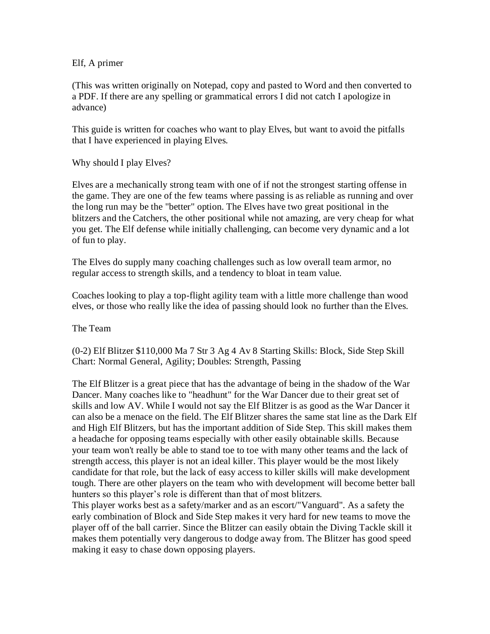Elf, A primer

(This was written originally on Notepad, copy and pasted to Word and then converted to a PDF. If there are any spelling or grammatical errors I did not catch I apologize in advance)

This guide is written for coaches who want to play Elves, but want to avoid the pitfalls that I have experienced in playing Elves.

Why should I play Elves?

Elves are a mechanically strong team with one of if not the strongest starting offense in the game. They are one of the few teams where passing is as reliable as running and over the long run may be the "better" option. The Elves have two great positional in the blitzers and the Catchers, the other positional while not amazing, are very cheap for what you get. The Elf defense while initially challenging, can become very dynamic and a lot of fun to play.

The Elves do supply many coaching challenges such as low overall team armor, no regular access to strength skills, and a tendency to bloat in team value.

Coaches looking to play a top-flight agility team with a little more challenge than wood elves, or those who really like the idea of passing should look no further than the Elves.

The Team

(0-2) Elf Blitzer \$110,000 Ma 7 Str 3 Ag 4 Av 8 Starting Skills: Block, Side Step Skill Chart: Normal General, Agility; Doubles: Strength, Passing

The Elf Blitzer is a great piece that has the advantage of being in the shadow of the War Dancer. Many coaches like to "headhunt" for the War Dancer due to their great set of skills and low AV. While I would not say the Elf Blitzer is as good as the War Dancer it can also be a menace on the field. The Elf Blitzer shares the same stat line as the Dark Elf and High Elf Blitzers, but has the important addition of Side Step. This skill makes them a headache for opposing teams especially with other easily obtainable skills. Because your team won't really be able to stand toe to toe with many other teams and the lack of strength access, this player is not an ideal killer. This player would be the most likely candidate for that role, but the lack of easy access to killer skills will make development tough. There are other players on the team who with development will become better ball hunters so this player's role is different than that of most blitzers.

This player works best as a safety/marker and as an escort/"Vanguard". As a safety the early combination of Block and Side Step makes it very hard for new teams to move the player off of the ball carrier. Since the Blitzer can easily obtain the Diving Tackle skill it makes them potentially very dangerous to dodge away from. The Blitzer has good speed making it easy to chase down opposing players.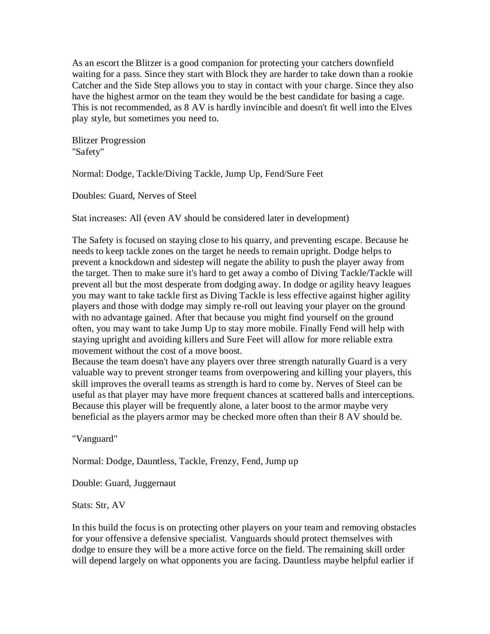As an escort the Blitzer is a good companion for protecting your catchers downfield waiting for a pass. Since they start with Block they are harder to take down than a rookie Catcher and the Side Step allows you to stay in contact with your charge. Since they also have the highest armor on the team they would be the best candidate for basing a cage. This is not recommended, as 8 AV is hardly invincible and doesn't fit well into the Elves play style, but sometimes you need to.

Blitzer Progression "Safety"

Normal: Dodge, Tackle/Diving Tackle, Jump Up, Fend/Sure Feet

Doubles: Guard, Nerves of Steel

Stat increases: All (even AV should be considered later in development)

The Safety is focused on staying close to his quarry, and preventing escape. Because he needs to keep tackle zones on the target he needs to remain upright. Dodge helps to prevent a knockdown and sidestep will negate the ability to push the player away from the target. Then to make sure it's hard to get away a combo of Diving Tackle/Tackle will prevent all but the most desperate from dodging away. In dodge or agility heavy leagues you may want to take tackle first as Diving Tackle is less effective against higher agility players and those with dodge may simply re-roll out leaving your player on the ground with no advantage gained. After that because you might find yourself on the ground often, you may want to take Jump Up to stay more mobile. Finally Fend will help with staying upright and avoiding killers and Sure Feet will allow for more reliable extra movement without the cost of a move boost.

Because the team doesn't have any players over three strength naturally Guard is a very valuable way to prevent stronger teams from overpowering and killing your players, this skill improves the overall teams as strength is hard to come by. Nerves of Steel can be useful as that player may have more frequent chances at scattered balls and interceptions. Because this player will be frequently alone, a later boost to the armor maybe very beneficial as the players armor may be checked more often than their 8 AV should be.

"Vanguard"

Normal: Dodge, Dauntless, Tackle, Frenzy, Fend, Jump up

Double: Guard, Juggernaut

Stats: Str, AV

In this build the focus is on protecting other players on your team and removing obstacles for your offensive a defensive specialist. Vanguards should protect themselves with dodge to ensure they will be a more active force on the field. The remaining skill order will depend largely on what opponents you are facing. Dauntless maybe helpful earlier if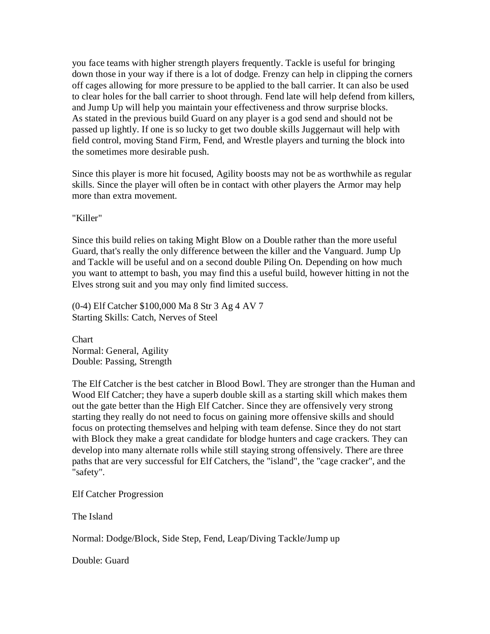you face teams with higher strength players frequently. Tackle is useful for bringing down those in your way if there is a lot of dodge. Frenzy can help in clipping the corners off cages allowing for more pressure to be applied to the ball carrier. It can also be used to clear holes for the ball carrier to shoot through. Fend late will help defend from killers, and Jump Up will help you maintain your effectiveness and throw surprise blocks. As stated in the previous build Guard on any player is a god send and should not be passed up lightly. If one is so lucky to get two double skills Juggernaut will help with field control, moving Stand Firm, Fend, and Wrestle players and turning the block into the sometimes more desirable push.

Since this player is more hit focused, Agility boosts may not be as worthwhile as regular skills. Since the player will often be in contact with other players the Armor may help more than extra movement.

"Killer"

Since this build relies on taking Might Blow on a Double rather than the more useful Guard, that's really the only difference between the killer and the Vanguard. Jump Up and Tackle will be useful and on a second double Piling On. Depending on how much you want to attempt to bash, you may find this a useful build, however hitting in not the Elves strong suit and you may only find limited success.

(0-4) Elf Catcher \$100,000 Ma 8 Str 3 Ag 4 AV 7 Starting Skills: Catch, Nerves of Steel

**Chart** Normal: General, Agility Double: Passing, Strength

The Elf Catcher is the best catcher in Blood Bowl. They are stronger than the Human and Wood Elf Catcher; they have a superb double skill as a starting skill which makes them out the gate better than the High Elf Catcher. Since they are offensively very strong starting they really do not need to focus on gaining more offensive skills and should focus on protecting themselves and helping with team defense. Since they do not start with Block they make a great candidate for blodge hunters and cage crackers. They can develop into many alternate rolls while still staying strong offensively. There are three paths that are very successful for Elf Catchers, the "island", the "cage cracker", and the "safety".

Elf Catcher Progression

The Island

Normal: Dodge/Block, Side Step, Fend, Leap/Diving Tackle/Jump up

Double: Guard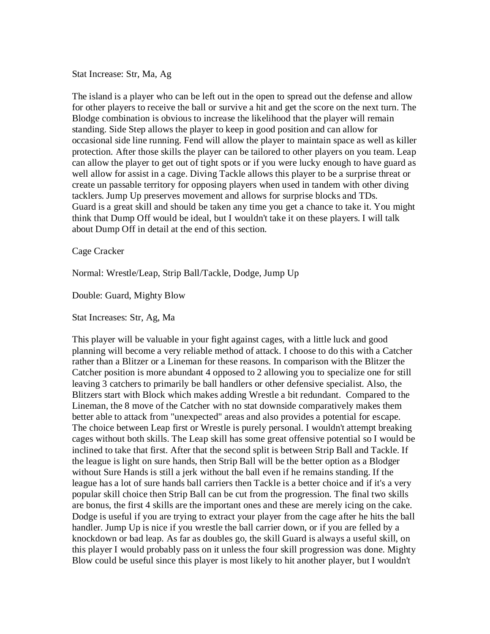Stat Increase: Str, Ma, Ag

The island is a player who can be left out in the open to spread out the defense and allow for other players to receive the ball or survive a hit and get the score on the next turn. The Blodge combination is obvious to increase the likelihood that the player will remain standing. Side Step allows the player to keep in good position and can allow for occasional side line running. Fend will allow the player to maintain space as well as killer protection. After those skills the player can be tailored to other players on you team. Leap can allow the player to get out of tight spots or if you were lucky enough to have guard as well allow for assist in a cage. Diving Tackle allows this player to be a surprise threat or create un passable territory for opposing players when used in tandem with other diving tacklers. Jump Up preserves movement and allows for surprise blocks and TDs. Guard is a great skill and should be taken any time you get a chance to take it. You might think that Dump Off would be ideal, but I wouldn't take it on these players. I will talk about Dump Off in detail at the end of this section.

Cage Cracker

Normal: Wrestle/Leap, Strip Ball/Tackle, Dodge, Jump Up

Double: Guard, Mighty Blow

Stat Increases: Str, Ag, Ma

This player will be valuable in your fight against cages, with a little luck and good planning will become a very reliable method of attack. I choose to do this with a Catcher rather than a Blitzer or a Lineman for these reasons. In comparison with the Blitzer the Catcher position is more abundant 4 opposed to 2 allowing you to specialize one for still leaving 3 catchers to primarily be ball handlers or other defensive specialist. Also, the Blitzers start with Block which makes adding Wrestle a bit redundant. Compared to the Lineman, the 8 move of the Catcher with no stat downside comparatively makes them better able to attack from "unexpected" areas and also provides a potential for escape. The choice between Leap first or Wrestle is purely personal. I wouldn't attempt breaking cages without both skills. The Leap skill has some great offensive potential so I would be inclined to take that first. After that the second split is between Strip Ball and Tackle. If the league is light on sure hands, then Strip Ball will be the better option as a Blodger without Sure Hands is still a jerk without the ball even if he remains standing. If the league has a lot of sure hands ball carriers then Tackle is a better choice and if it's a very popular skill choice then Strip Ball can be cut from the progression. The final two skills are bonus, the first 4 skills are the important ones and these are merely icing on the cake. Dodge is useful if you are trying to extract your player from the cage after he hits the ball handler. Jump Up is nice if you wrestle the ball carrier down, or if you are felled by a knockdown or bad leap. As far as doubles go, the skill Guard is always a useful skill, on this player I would probably pass on it unless the four skill progression was done. Mighty Blow could be useful since this player is most likely to hit another player, but I wouldn't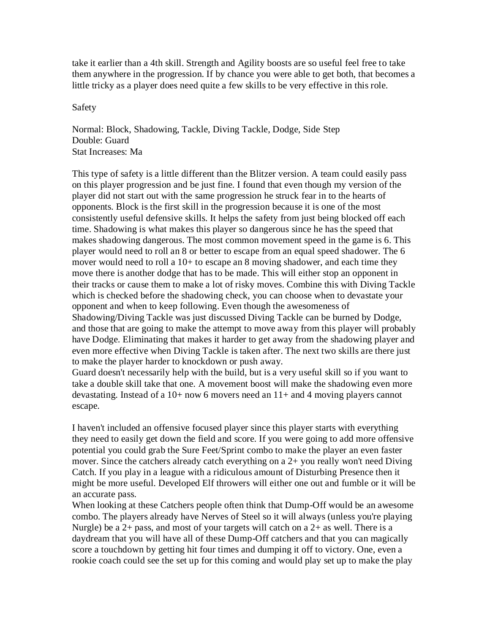take it earlier than a 4th skill. Strength and Agility boosts are so useful feel free to take them anywhere in the progression. If by chance you were able to get both, that becomes a little tricky as a player does need quite a few skills to be very effective in this role.

Safety

Normal: Block, Shadowing, Tackle, Diving Tackle, Dodge, Side Step Double: Guard Stat Increases: Ma

This type of safety is a little different than the Blitzer version. A team could easily pass on this player progression and be just fine. I found that even though my version of the player did not start out with the same progression he struck fear in to the hearts of opponents. Block is the first skill in the progression because it is one of the most consistently useful defensive skills. It helps the safety from just being blocked off each time. Shadowing is what makes this player so dangerous since he has the speed that makes shadowing dangerous. The most common movement speed in the game is 6. This player would need to roll an 8 or better to escape from an equal speed shadower. The 6 mover would need to roll a 10+ to escape an 8 moving shadower, and each time they move there is another dodge that has to be made. This will either stop an opponent in their tracks or cause them to make a lot of risky moves. Combine this with Diving Tackle which is checked before the shadowing check, you can choose when to devastate your opponent and when to keep following. Even though the awesomeness of Shadowing/Diving Tackle was just discussed Diving Tackle can be burned by Dodge, and those that are going to make the attempt to move away from this player will probably have Dodge. Eliminating that makes it harder to get away from the shadowing player and even more effective when Diving Tackle is taken after. The next two skills are there just to make the player harder to knockdown or push away.

Guard doesn't necessarily help with the build, but is a very useful skill so if you want to take a double skill take that one. A movement boost will make the shadowing even more devastating. Instead of a 10+ now 6 movers need an 11+ and 4 moving players cannot escape.

I haven't included an offensive focused player since this player starts with everything they need to easily get down the field and score. If you were going to add more offensive potential you could grab the Sure Feet/Sprint combo to make the player an even faster mover. Since the catchers already catch everything on a 2+ you really won't need Diving Catch. If you play in a league with a ridiculous amount of Disturbing Presence then it might be more useful. Developed Elf throwers will either one out and fumble or it will be an accurate pass.

When looking at these Catchers people often think that Dump-Off would be an awesome combo. The players already have Nerves of Steel so it will always (unless you're playing Nurgle) be a  $2+$  pass, and most of your targets will catch on a  $2+$  as well. There is a daydream that you will have all of these Dump-Off catchers and that you can magically score a touchdown by getting hit four times and dumping it off to victory. One, even a rookie coach could see the set up for this coming and would play set up to make the play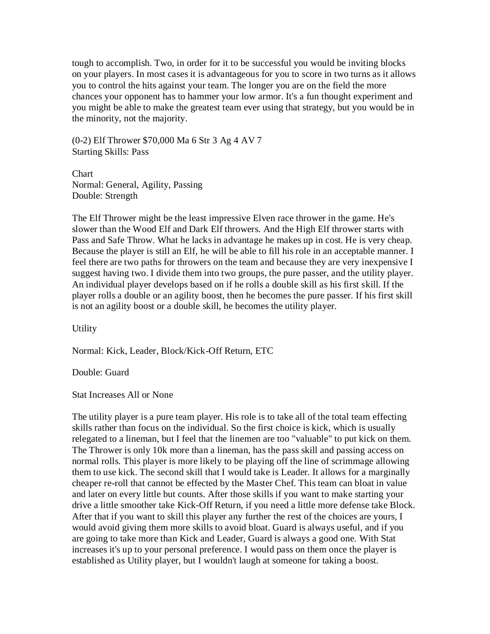tough to accomplish. Two, in order for it to be successful you would be inviting blocks on your players. In most cases it is advantageous for you to score in two turns as it allows you to control the hits against your team. The longer you are on the field the more chances your opponent has to hammer your low armor. It's a fun thought experiment and you might be able to make the greatest team ever using that strategy, but you would be in the minority, not the majority.

(0-2) Elf Thrower \$70,000 Ma 6 Str 3 Ag 4 AV 7 Starting Skills: Pass

Chart Normal: General, Agility, Passing Double: Strength

The Elf Thrower might be the least impressive Elven race thrower in the game. He's slower than the Wood Elf and Dark Elf throwers. And the High Elf thrower starts with Pass and Safe Throw. What he lacks in advantage he makes up in cost. He is very cheap. Because the player is still an Elf, he will be able to fill his role in an acceptable manner. I feel there are two paths for throwers on the team and because they are very inexpensive I suggest having two. I divide them into two groups, the pure passer, and the utility player. An individual player develops based on if he rolls a double skill as his first skill. If the player rolls a double or an agility boost, then he becomes the pure passer. If his first skill is not an agility boost or a double skill, he becomes the utility player.

**Utility** 

Normal: Kick, Leader, Block/Kick-Off Return, ETC

Double: Guard

Stat Increases All or None

The utility player is a pure team player. His role is to take all of the total team effecting skills rather than focus on the individual. So the first choice is kick, which is usually relegated to a lineman, but I feel that the linemen are too "valuable" to put kick on them. The Thrower is only 10k more than a lineman, has the pass skill and passing access on normal rolls. This player is more likely to be playing off the line of scrimmage allowing them to use kick. The second skill that I would take is Leader. It allows for a marginally cheaper re-roll that cannot be effected by the Master Chef. This team can bloat in value and later on every little but counts. After those skills if you want to make starting your drive a little smoother take Kick-Off Return, if you need a little more defense take Block. After that if you want to skill this player any further the rest of the choices are yours, I would avoid giving them more skills to avoid bloat. Guard is always useful, and if you are going to take more than Kick and Leader, Guard is always a good one. With Stat increases it's up to your personal preference. I would pass on them once the player is established as Utility player, but I wouldn't laugh at someone for taking a boost.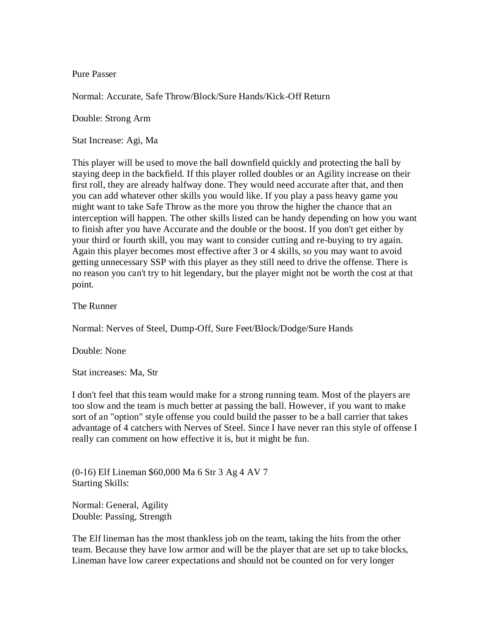Pure Passer

Normal: Accurate, Safe Throw/Block/Sure Hands/Kick-Off Return

Double: Strong Arm

Stat Increase: Agi, Ma

This player will be used to move the ball downfield quickly and protecting the ball by staying deep in the backfield. If this player rolled doubles or an Agility increase on their first roll, they are already halfway done. They would need accurate after that, and then you can add whatever other skills you would like. If you play a pass heavy game you might want to take Safe Throw as the more you throw the higher the chance that an interception will happen. The other skills listed can be handy depending on how you want to finish after you have Accurate and the double or the boost. If you don't get either by your third or fourth skill, you may want to consider cutting and re-buying to try again. Again this player becomes most effective after 3 or 4 skills, so you may want to avoid getting unnecessary SSP with this player as they still need to drive the offense. There is no reason you can't try to hit legendary, but the player might not be worth the cost at that point.

The Runner

Normal: Nerves of Steel, Dump-Off, Sure Feet/Block/Dodge/Sure Hands

Double: None

Stat increases: Ma, Str

I don't feel that this team would make for a strong running team. Most of the players are too slow and the team is much better at passing the ball. However, if you want to make sort of an "option" style offense you could build the passer to be a ball carrier that takes advantage of 4 catchers with Nerves of Steel. Since I have never ran this style of offense I really can comment on how effective it is, but it might be fun.

(0-16) Elf Lineman \$60,000 Ma 6 Str 3 Ag 4 AV 7 Starting Skills:

Normal: General, Agility Double: Passing, Strength

The Elf lineman has the most thankless job on the team, taking the hits from the other team. Because they have low armor and will be the player that are set up to take blocks, Lineman have low career expectations and should not be counted on for very longer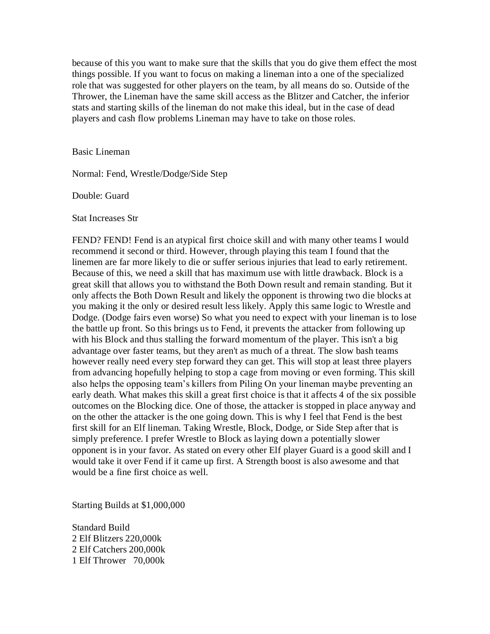because of this you want to make sure that the skills that you do give them effect the most things possible. If you want to focus on making a lineman into a one of the specialized role that was suggested for other players on the team, by all means do so. Outside of the Thrower, the Lineman have the same skill access as the Blitzer and Catcher, the inferior stats and starting skills of the lineman do not make this ideal, but in the case of dead players and cash flow problems Lineman may have to take on those roles.

Basic Lineman

Normal: Fend, Wrestle/Dodge/Side Step

Double: Guard

Stat Increases Str

FEND? FEND! Fend is an atypical first choice skill and with many other teams I would recommend it second or third. However, through playing this team I found that the linemen are far more likely to die or suffer serious injuries that lead to early retirement. Because of this, we need a skill that has maximum use with little drawback. Block is a great skill that allows you to withstand the Both Down result and remain standing. But it only affects the Both Down Result and likely the opponent is throwing two die blocks at you making it the only or desired result less likely. Apply this same logic to Wrestle and Dodge. (Dodge fairs even worse) So what you need to expect with your lineman is to lose the battle up front. So this brings us to Fend, it prevents the attacker from following up with his Block and thus stalling the forward momentum of the player. This isn't a big advantage over faster teams, but they aren't as much of a threat. The slow bash teams however really need every step forward they can get. This will stop at least three players from advancing hopefully helping to stop a cage from moving or even forming. This skill also helps the opposing team's killers from Piling On your lineman maybe preventing an early death. What makes this skill a great first choice is that it affects 4 of the six possible outcomes on the Blocking dice. One of those, the attacker is stopped in place anyway and on the other the attacker is the one going down. This is why I feel that Fend is the best first skill for an Elf lineman. Taking Wrestle, Block, Dodge, or Side Step after that is simply preference. I prefer Wrestle to Block as laying down a potentially slower opponent is in your favor. As stated on every other Elf player Guard is a good skill and I would take it over Fend if it came up first. A Strength boost is also awesome and that would be a fine first choice as well.

Starting Builds at \$1,000,000

Standard Build 2 Elf Blitzers 220,000k 2 Elf Catchers 200,000k 1 Elf Thrower 70,000k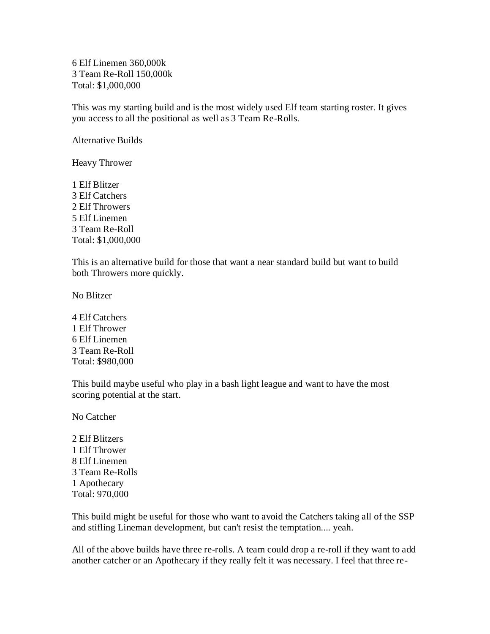6 Elf Linemen 360,000k 3 Team Re-Roll 150,000k Total: \$1,000,000

This was my starting build and is the most widely used Elf team starting roster. It gives you access to all the positional as well as 3 Team Re-Rolls.

Alternative Builds

Heavy Thrower

1 Elf Blitzer 3 Elf Catchers 2 Elf Throwers 5 Elf Linemen 3 Team Re-Roll Total: \$1,000,000

This is an alternative build for those that want a near standard build but want to build both Throwers more quickly.

No Blitzer

4 Elf Catchers 1 Elf Thrower 6 Elf Linemen 3 Team Re-Roll Total: \$980,000

This build maybe useful who play in a bash light league and want to have the most scoring potential at the start.

No Catcher

2 Elf Blitzers 1 Elf Thrower 8 Elf Linemen 3 Team Re-Rolls 1 Apothecary Total: 970,000

This build might be useful for those who want to avoid the Catchers taking all of the SSP and stifling Lineman development, but can't resist the temptation.... yeah.

All of the above builds have three re-rolls. A team could drop a re-roll if they want to add another catcher or an Apothecary if they really felt it was necessary. I feel that three re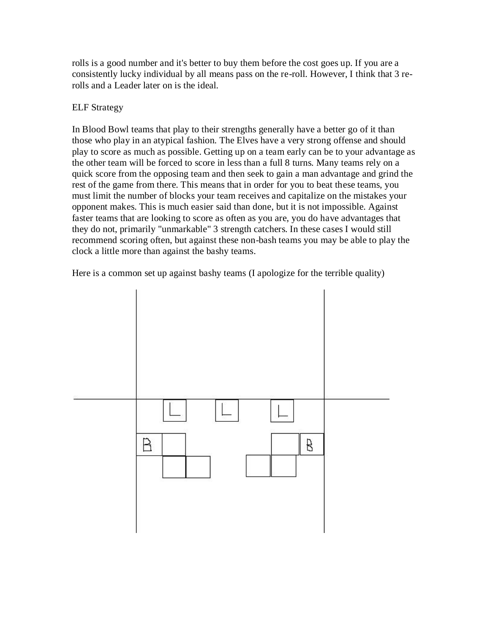rolls is a good number and it's better to buy them before the cost goes up. If you are a consistently lucky individual by all means pass on the re-roll. However, I think that 3 rerolls and a Leader later on is the ideal.

## ELF Strategy

In Blood Bowl teams that play to their strengths generally have a better go of it than those who play in an atypical fashion. The Elves have a very strong offense and should play to score as much as possible. Getting up on a team early can be to your advantage as the other team will be forced to score in less than a full 8 turns. Many teams rely on a quick score from the opposing team and then seek to gain a man advantage and grind the rest of the game from there. This means that in order for you to beat these teams, you must limit the number of blocks your team receives and capitalize on the mistakes your opponent makes. This is much easier said than done, but it is not impossible. Against faster teams that are looking to score as often as you are, you do have advantages that they do not, primarily "unmarkable" 3 strength catchers. In these cases I would still recommend scoring often, but against these non-bash teams you may be able to play the clock a little more than against the bashy teams.

Here is a common set up against bashy teams (I apologize for the terrible quality)

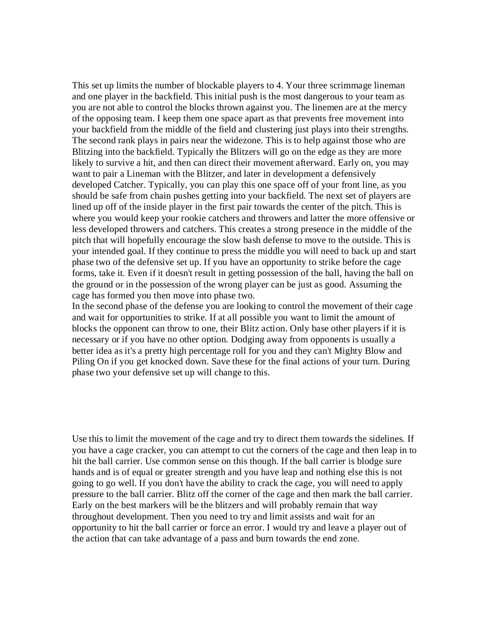This set up limits the number of blockable players to 4. Your three scrimmage lineman and one player in the backfield. This initial push is the most dangerous to your team as you are not able to control the blocks thrown against you. The linemen are at the mercy of the opposing team. I keep them one space apart as that prevents free movement into your backfield from the middle of the field and clustering just plays into their strengths. The second rank plays in pairs near the widezone. This is to help against those who are Blitzing into the backfield. Typically the Blitzers will go on the edge as they are more likely to survive a hit, and then can direct their movement afterward. Early on, you may want to pair a Lineman with the Blitzer, and later in development a defensively developed Catcher. Typically, you can play this one space off of your front line, as you should be safe from chain pushes getting into your backfield. The next set of players are lined up off of the inside player in the first pair towards the center of the pitch. This is where you would keep your rookie catchers and throwers and latter the more offensive or less developed throwers and catchers. This creates a strong presence in the middle of the pitch that will hopefully encourage the slow bash defense to move to the outside. This is your intended goal. If they continue to press the middle you will need to back up and start phase two of the defensive set up. If you have an opportunity to strike before the cage forms, take it. Even if it doesn't result in getting possession of the ball, having the ball on the ground or in the possession of the wrong player can be just as good. Assuming the cage has formed you then move into phase two.

In the second phase of the defense you are looking to control the movement of their cage and wait for opportunities to strike. If at all possible you want to limit the amount of blocks the opponent can throw to one, their Blitz action. Only base other players if it is necessary or if you have no other option. Dodging away from opponents is usually a better idea as it's a pretty high percentage roll for you and they can't Mighty Blow and Piling On if you get knocked down. Save these for the final actions of your turn. During phase two your defensive set up will change to this.

Use this to limit the movement of the cage and try to direct them towards the sidelines. If you have a cage cracker, you can attempt to cut the corners of the cage and then leap in to hit the ball carrier. Use common sense on this though. If the ball carrier is blodge sure hands and is of equal or greater strength and you have leap and nothing else this is not going to go well. If you don't have the ability to crack the cage, you will need to apply pressure to the ball carrier. Blitz off the corner of the cage and then mark the ball carrier. Early on the best markers will be the blitzers and will probably remain that way throughout development. Then you need to try and limit assists and wait for an opportunity to hit the ball carrier or force an error. I would try and leave a player out of the action that can take advantage of a pass and burn towards the end zone.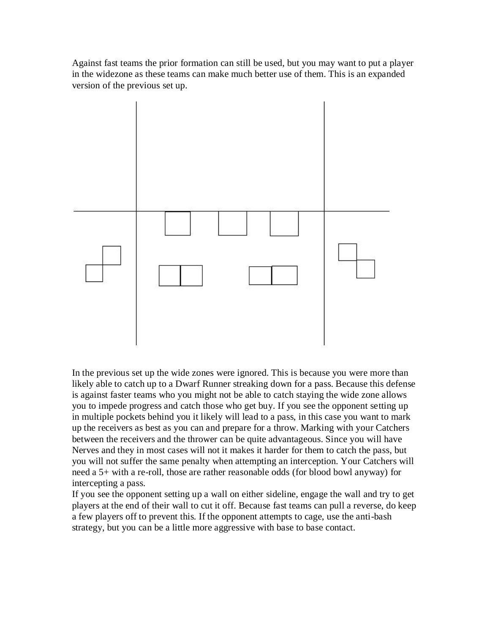Against fast teams the prior formation can still be used, but you may want to put a player in the widezone as these teams can make much better use of them. This is an expanded version of the previous set up.



In the previous set up the wide zones were ignored. This is because you were more than likely able to catch up to a Dwarf Runner streaking down for a pass. Because this defense is against faster teams who you might not be able to catch staying the wide zone allows you to impede progress and catch those who get buy. If you see the opponent setting up in multiple pockets behind you it likely will lead to a pass, in this case you want to mark up the receivers as best as you can and prepare for a throw. Marking with your Catchers between the receivers and the thrower can be quite advantageous. Since you will have Nerves and they in most cases will not it makes it harder for them to catch the pass, but you will not suffer the same penalty when attempting an interception. Your Catchers will need a 5+ with a re-roll, those are rather reasonable odds (for blood bowl anyway) for intercepting a pass.

If you see the opponent setting up a wall on either sideline, engage the wall and try to get players at the end of their wall to cut it off. Because fast teams can pull a reverse, do keep a few players off to prevent this. If the opponent attempts to cage, use the anti-bash strategy, but you can be a little more aggressive with base to base contact.